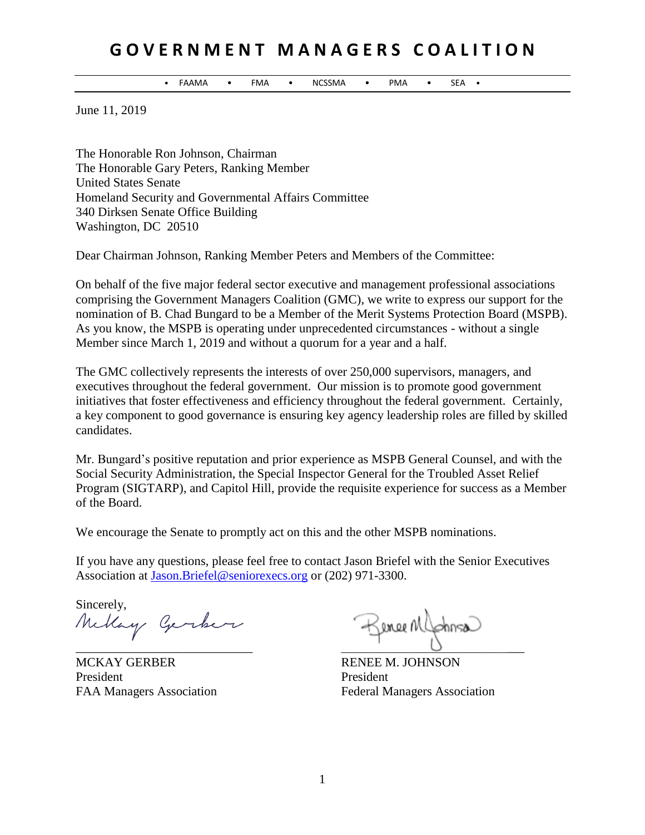## **G O V E R N M E N T M A N A G E R S C O A L I T I O N**

• FAAMA • FMA • NCSSMA • PMA • SEA •

June 11, 2019

The Honorable Ron Johnson, Chairman The Honorable Gary Peters, Ranking Member United States Senate Homeland Security and Governmental Affairs Committee 340 Dirksen Senate Office Building Washington, DC 20510

Dear Chairman Johnson, Ranking Member Peters and Members of the Committee:

On behalf of the five major federal sector executive and management professional associations comprising the Government Managers Coalition (GMC), we write to express our support for the nomination of B. Chad Bungard to be a Member of the Merit Systems Protection Board (MSPB). As you know, the MSPB is operating under unprecedented circumstances - without a single Member since March 1, 2019 and without a quorum for a year and a half.

The GMC collectively represents the interests of over 250,000 supervisors, managers, and executives throughout the federal government. Our mission is to promote good government initiatives that foster effectiveness and efficiency throughout the federal government. Certainly, a key component to good governance is ensuring key agency leadership roles are filled by skilled candidates.

Mr. Bungard's positive reputation and prior experience as MSPB General Counsel, and with the Social Security Administration, the Special Inspector General for the Troubled Asset Relief Program (SIGTARP), and Capitol Hill, provide the requisite experience for success as a Member of the Board.

We encourage the Senate to promptly act on this and the other MSPB nominations.

If you have any questions, please feel free to contact Jason Briefel with the Senior Executives Association at [Jason.Briefel@seniorexecs.org](mailto:Jason.Briefel@seniorexecs.org) or (202) 971-3300.

Sincerely, Mellay Gerker

MCKAY GERBER RENEE M. JOHNSON President President President

Sence Mlphosa  $\overline{\phantom{a}}$  ,  $\overline{\phantom{a}}$  ,  $\overline{\phantom{a}}$  ,  $\overline{\phantom{a}}$  ,  $\overline{\phantom{a}}$  ,  $\overline{\phantom{a}}$  ,  $\overline{\phantom{a}}$  ,  $\overline{\phantom{a}}$  ,  $\overline{\phantom{a}}$  ,  $\overline{\phantom{a}}$  ,  $\overline{\phantom{a}}$  ,  $\overline{\phantom{a}}$  ,  $\overline{\phantom{a}}$  ,  $\overline{\phantom{a}}$  ,  $\overline{\phantom{a}}$  ,  $\overline{\phantom{a}}$ 

FAA Managers Association Federal Managers Association